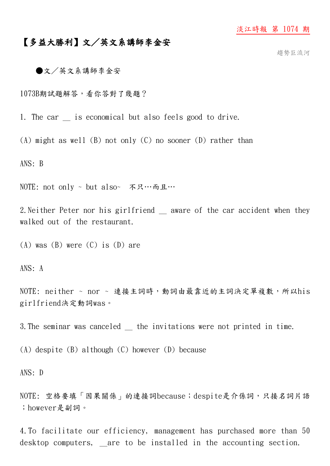## 淡江時報 第 1074 期

## 【多益大勝利】文/英文系講師李金安

趨勢巨流河

●文/英文系講師李金安

1073B期試題解答,看你答對了幾題?

1. The car is economical but also feels good to drive.

(A) might as well (B) not only (C) no sooner (D) rather than

ANS: B

NOTE: not only ~ but also~ 不只…而且…

2. Neither Peter nor his girlfriend aware of the car accident when they walked out of the restaurant.

 $(A)$  was  $(B)$  were  $(C)$  is  $(D)$  are

ANS: A

NOTE: neither ~ nor ~ 連接主詞時,動詞由最靠近的主詞決定單複數,所以his girlfriend決定動詞was。

3.The seminar was canceled \_ the invitations were not printed in time.

(A) despite (B) although (C) however (D) because

ANS: D

NOTE: 空格要填「因果關係」的連接詞because;despite是介係詞,只接名詞片語 ;however是副詞。

4.To facilitate our efficiency, management has purchased more than 50 desktop computers, are to be installed in the accounting section.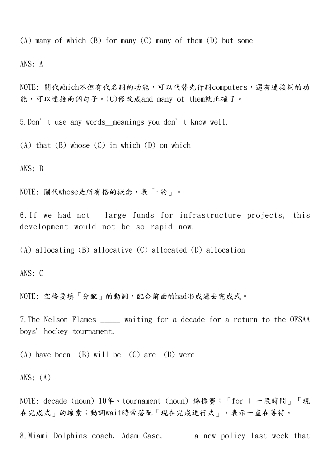(A) many of which (B) for many (C) many of them (D) but some

ANS: A

NOTE: 關代which不但有代名詞的功能,可以代替先行詞computers,還有連接詞的功 能,可以連接兩個句子。(C)修改成and many of them就正確了。

5.Don't use any words\_meanings you don't know well.

 $(A)$  that  $(B)$  whose  $(C)$  in which  $(D)$  on which

ANS: B

NOTE: 關代whose是所有格的概念,表「~的」。

6. If we had not large funds for infrastructure projects, this development would not be so rapid now.

(A) allocating (B) allocative (C) allocated (D) allocation

ANS: C

NOTE: 空格要填「分配」的動詞,配合前面的had形成過去完成式。

7.The Nelson Flames \_\_\_\_\_ waiting for a decade for a return to the OFSAA boys' hockey tournament.

(A) have been (B) will be  $(C)$  are  $(D)$  were

ANS:  $(A)$ 

NOTE: decade (noun) 10年、tournament (noun) 錦標賽;「for + 一段時間」「現 在完成式」的線索;動詞wait時常搭配「現在完成進行式」,表示一直在等待。

8.Miami Dolphins coach, Adam Gase, \_\_\_\_\_ a new policy last week that